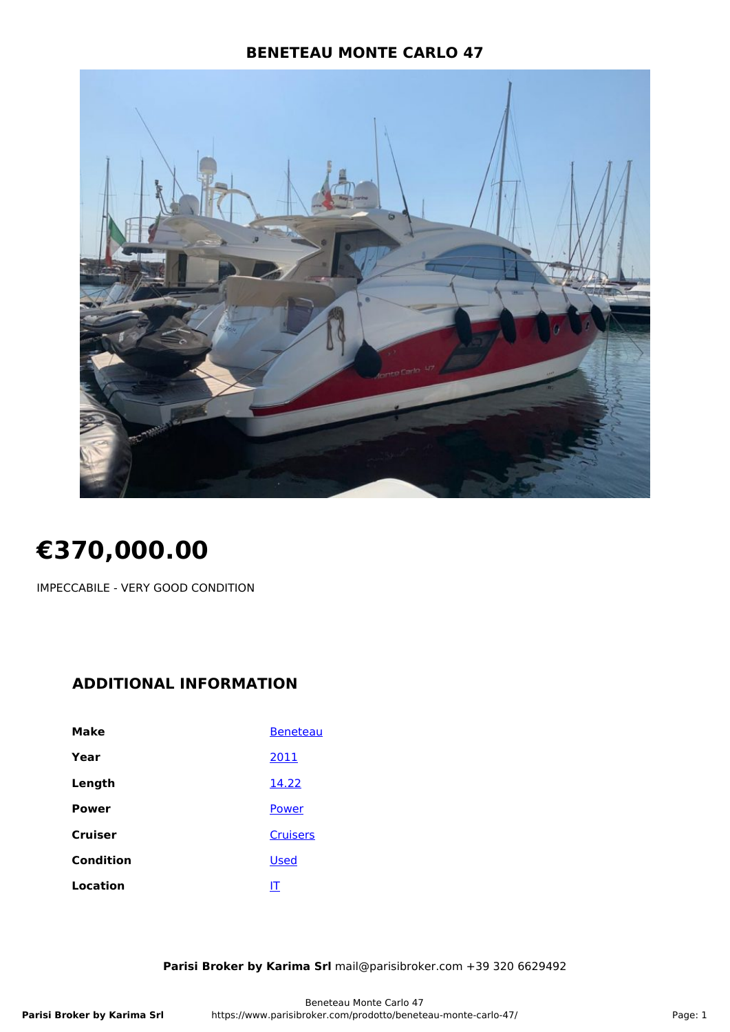# **BENETEAU MONTE CARLO 47**



# **€370,000.00**

IMPECCABILE - VERY GOOD CONDITION

# **ADDITIONAL INFORMATION**

| Make           | <b>Beneteau</b> |
|----------------|-----------------|
| Year           | 2011            |
| Length         | 14.22           |
| <b>Power</b>   | Power           |
| <b>Cruiser</b> | <b>Cruisers</b> |
| Condition      | <b>Used</b>     |
| Location       | IT              |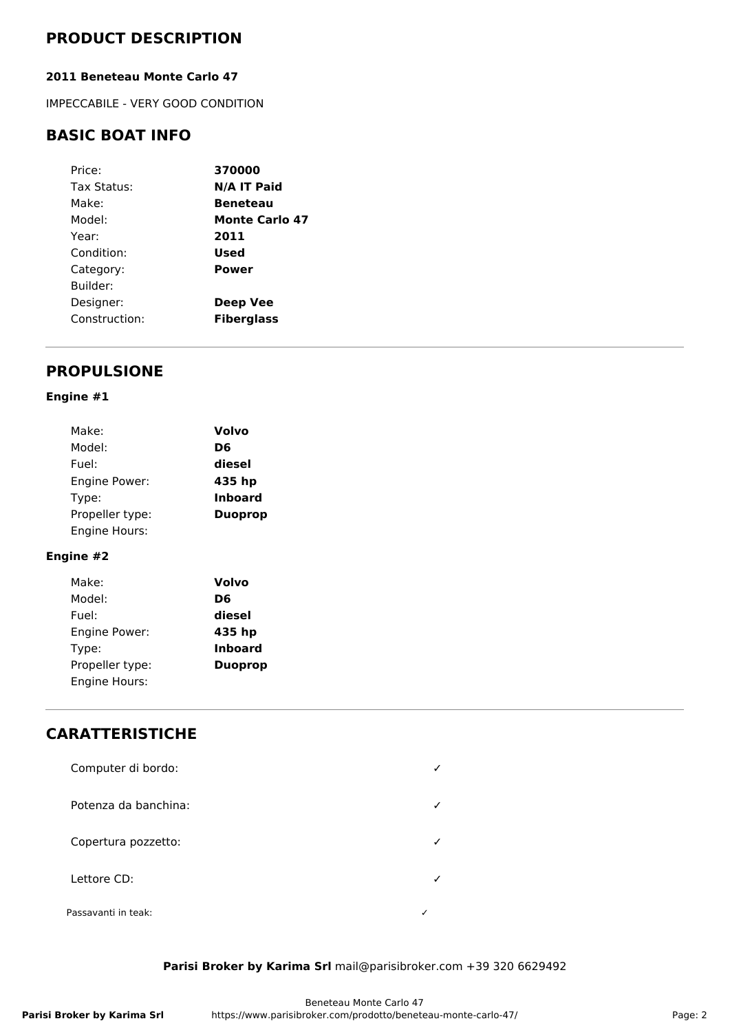# **PRODUCT DESCRIPTION**

## **2011 Beneteau Monte Carlo 47**

IMPECCABILE - VERY GOOD CONDITION

# **BASIC BOAT INFO**

| Price:        | 370000                |
|---------------|-----------------------|
| Tax Status:   | N/A IT Paid           |
| Make:         | Beneteau              |
| Model:        | <b>Monte Carlo 47</b> |
| Year:         | 2011                  |
| Condition:    | <b>Used</b>           |
| Category:     | Power                 |
| Builder:      |                       |
| Designer:     | Deep Vee              |
| Construction: | <b>Fiberglass</b>     |
|               |                       |

# **PROPULSIONE**

## **Engine #1**

| Volvo          |
|----------------|
| D6             |
| diesel         |
| 435 hp         |
| <b>Inboard</b> |
| <b>Duoprop</b> |
|                |
|                |

## **Engine #2**

| Make:           | Volvo          |
|-----------------|----------------|
| Model:          | D6             |
| Fuel:           | diesel         |
| Engine Power:   | 435 hp         |
| Type:           | <b>Inboard</b> |
| Propeller type: | <b>Duoprop</b> |
| Engine Hours:   |                |

# **CARATTERISTICHE**

| Computer di bordo:   |  |
|----------------------|--|
| Potenza da banchina: |  |
| Copertura pozzetto:  |  |
| Lettore CD:          |  |
| Passavanti in teak:  |  |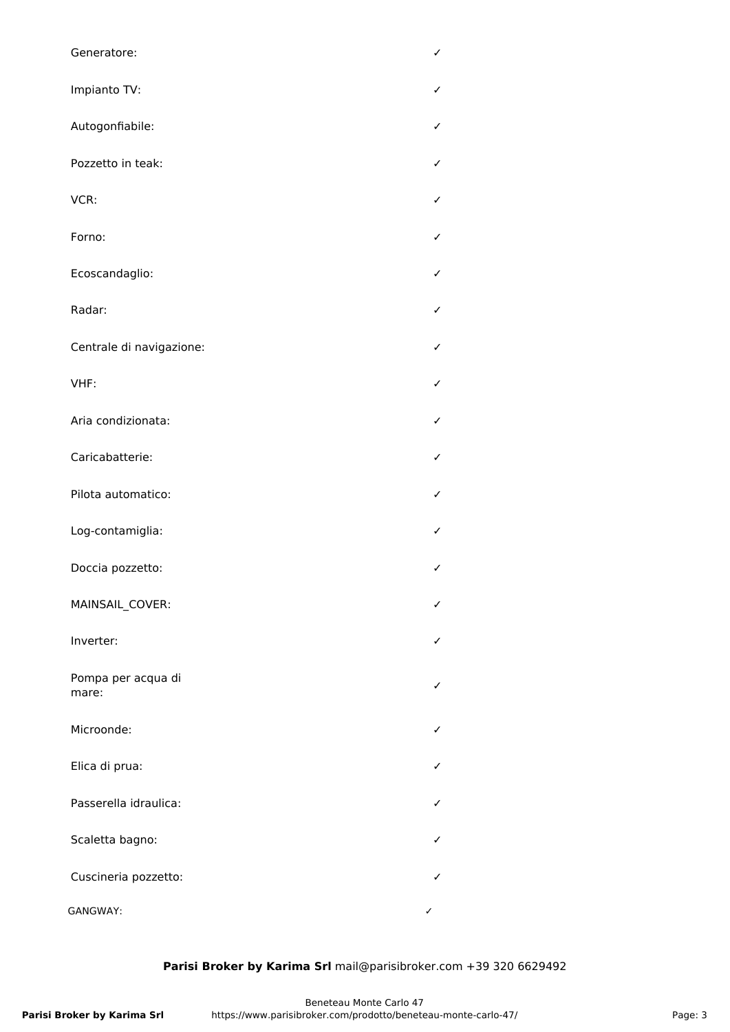| Generatore:                 | ✓ |
|-----------------------------|---|
| Impianto TV:                | ✓ |
| Autogonfiabile:             | ✓ |
| Pozzetto in teak:           | ✓ |
| VCR:                        | ✓ |
| Forno:                      | ✓ |
| Ecoscandaglio:              | ✓ |
| Radar:                      | ✓ |
| Centrale di navigazione:    | ✓ |
| VHF:                        | ✓ |
| Aria condizionata:          | ✓ |
| Caricabatterie:             | ✓ |
| Pilota automatico:          | ✓ |
| Log-contamiglia:            | ✓ |
| Doccia pozzetto:            | ✓ |
| MAINSAIL_COVER:             | ✓ |
| Inverter:                   |   |
| Pompa per acqua di<br>mare: | ✓ |
| Microonde:                  | ✓ |
| Elica di prua:              |   |
| Passerella idraulica:       |   |
| Scaletta bagno:             |   |
| Cuscineria pozzetto:        |   |
| GANGWAY:                    |   |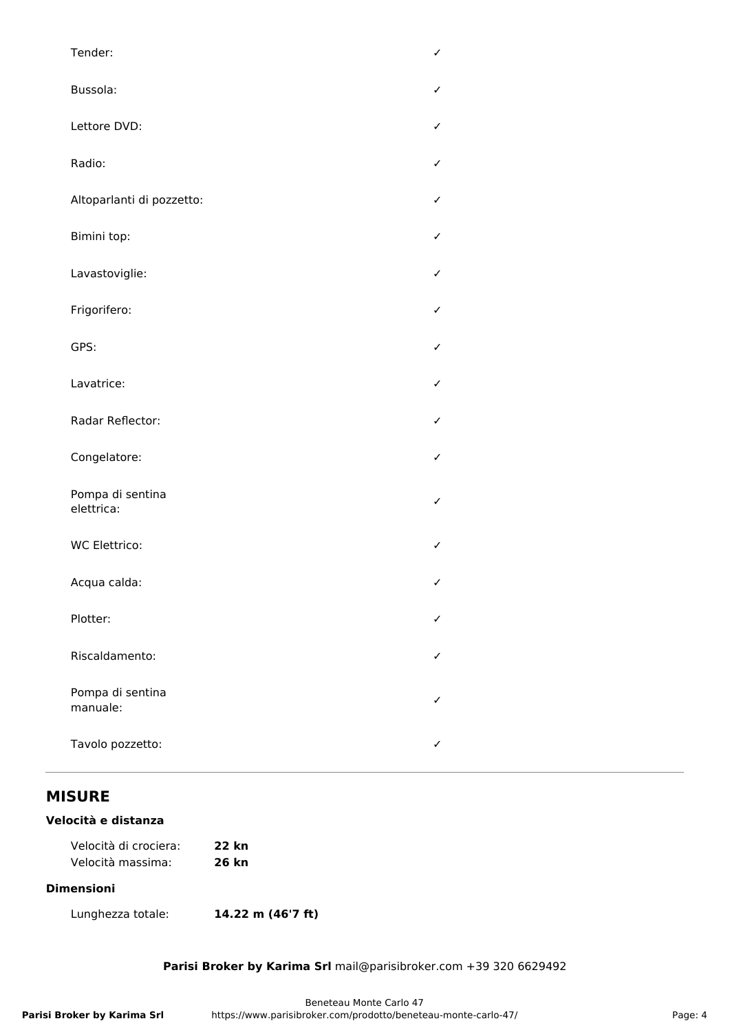| Tender:                        | $\checkmark$ |
|--------------------------------|--------------|
| Bussola:                       | $\checkmark$ |
| Lettore DVD:                   | $\checkmark$ |
| Radio:                         | $\checkmark$ |
| Altoparlanti di pozzetto:      | $\checkmark$ |
| Bimini top:                    | $\checkmark$ |
| Lavastoviglie:                 | $\checkmark$ |
| Frigorifero:                   | $\checkmark$ |
| GPS:                           | $\checkmark$ |
| Lavatrice:                     | $\checkmark$ |
| Radar Reflector:               | $\checkmark$ |
| Congelatore:                   | $\checkmark$ |
| Pompa di sentina<br>elettrica: | $\checkmark$ |
| WC Elettrico:                  | $\checkmark$ |
| Acqua calda:                   | ✓            |
| Plotter:                       | $\checkmark$ |
| Riscaldamento:                 | ✓            |
| Pompa di sentina<br>manuale:   | ✓            |
| Tavolo pozzetto:               | $\checkmark$ |

## **MISURE**

## **Velocità e distanza**

| Velocità di crociera: | 22 kn |
|-----------------------|-------|
| Velocità massima:     | 26 kn |

#### **Dimensioni**

Lunghezza totale: **14.22 m (46'7 ft)**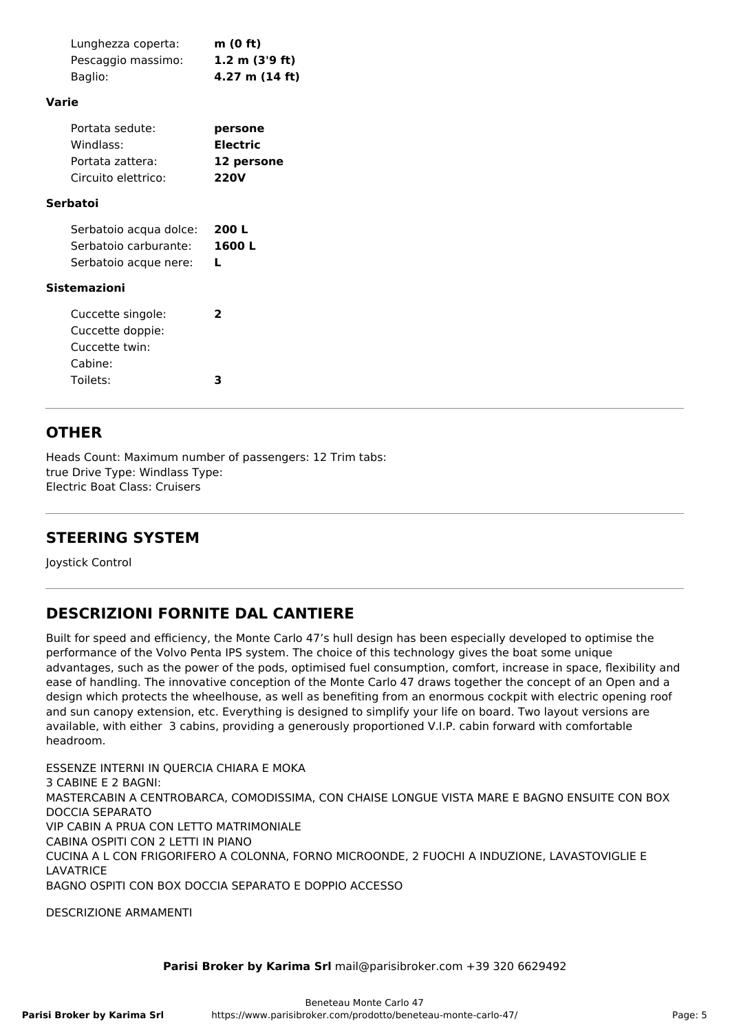| Lunghezza coperta: | m (0 ft)         |
|--------------------|------------------|
| Pescaggio massimo: | 1.2 m $(3'9 ft)$ |
| Baglio:            | 4.27 m (14 ft)   |

#### **Varie**

| Portata sedute:     | persone         |
|---------------------|-----------------|
| Windlass:           | <b>Electric</b> |
| Portata zattera:    | 12 persone      |
| Circuito elettrico: | <b>220V</b>     |

#### **Serbatoi**

| Serbatoio acqua dolce: | 200 L  |
|------------------------|--------|
| Serbatoio carburante:  | 1600 L |
| Serbatoio acque nere:  | L.     |

#### **Sistemazioni**

| Cuccette singole: | 2 |
|-------------------|---|
| Cuccette doppie:  |   |
| Cuccette twin:    |   |
| Cabine:           |   |
| Toilets:          | ર |
|                   |   |

# **OTHER**

Heads Count: Maximum number of passengers: 12 Trim tabs: true Drive Type: Windlass Type: Electric Boat Class: Cruisers

## **STEERING SYSTEM**

Joystick Control

# **DESCRIZIONI FORNITE DAL CANTIERE**

Built for speed and efficiency, the Monte Carlo 47's hull design has been especially developed to optimise the performance of the Volvo Penta IPS system. The choice of this technology gives the boat some unique advantages, such as the power of the pods, optimised fuel consumption, comfort, increase in space, flexibility and ease of handling. The innovative conception of the Monte Carlo 47 draws together the concept of an Open and a design which protects the wheelhouse, as well as benefiting from an enormous cockpit with electric opening roof and sun canopy extension, etc. Everything is designed to simplify your life on board. Two layout versions are available, with either 3 cabins, providing a generously proportioned V.I.P. cabin forward with comfortable headroom.

ESSENZE INTERNI IN QUERCIA CHIARA E MOKA 3 CABINE E 2 BAGNI: MASTERCABIN A CENTROBARCA, COMODISSIMA, CON CHAISE LONGUE VISTA MARE E BAGNO ENSUITE CON BOX DOCCIA SEPARATO VIP CABIN A PRUA CON LETTO MATRIMONIALE CABINA OSPITI CON 2 LETTI IN PIANO CUCINA A L CON FRIGORIFERO A COLONNA, FORNO MICROONDE, 2 FUOCHI A INDUZIONE, LAVASTOVIGLIE E LAVATRICE BAGNO OSPITI CON BOX DOCCIA SEPARATO E DOPPIO ACCESSO

DESCRIZIONE ARMAMENTI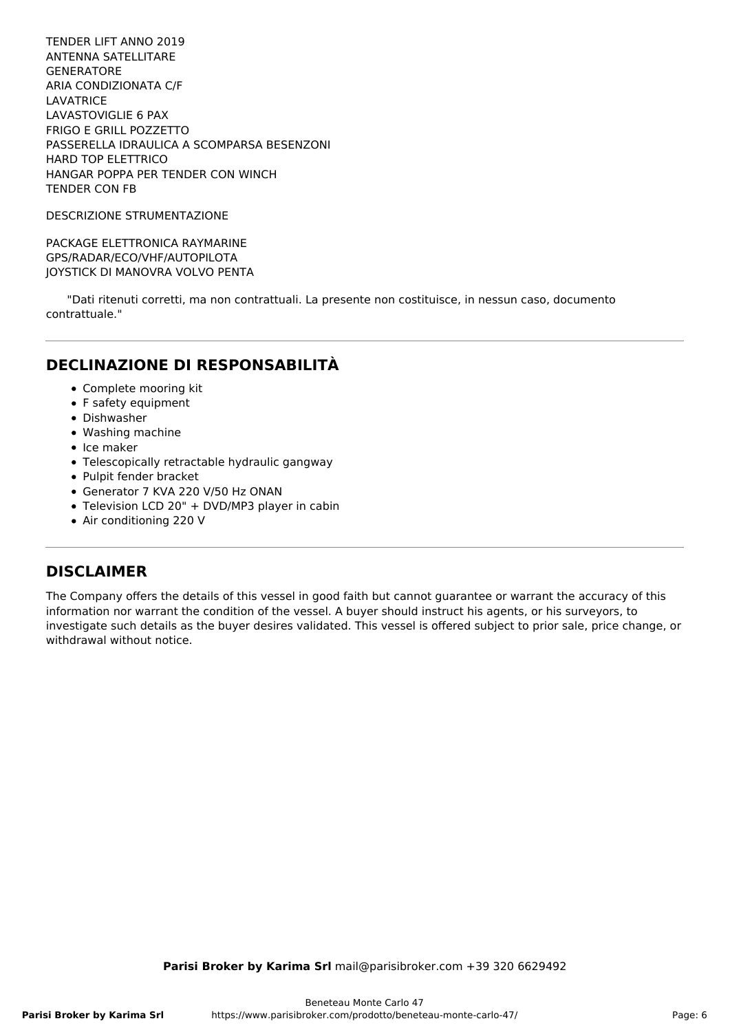TENDER LIFT ANNO 2019 ANTENNA SATELLITARE GENERATORE ARIA CONDIZIONATA C/F LAVATRICE LAVASTOVIGLIE 6 PAX FRIGO E GRILL POZZETTO PASSERELLA IDRAULICA A SCOMPARSA BESENZONI HARD TOP ELETTRICO HANGAR POPPA PER TENDER CON WINCH TENDER CON FB

DESCRIZIONE STRUMENTAZIONE

PACKAGE ELETTRONICA RAYMARINE GPS/RADAR/ECO/VHF/AUTOPILOTA JOYSTICK DI MANOVRA VOLVO PENTA

 "Dati ritenuti corretti, ma non contrattuali. La presente non costituisce, in nessun caso, documento contrattuale."

# **DECLINAZIONE DI RESPONSABILITÀ**

- Complete mooring kit
- F safety equipment
- Dishwasher
- Washing machine
- Ice maker
- Telescopically retractable hydraulic gangway
- Pulpit fender bracket
- Generator 7 KVA 220 V/50 Hz ONAN
- Television LCD 20" + DVD/MP3 player in cabin
- Air conditioning 220 V

# **DISCLAIMER**

The Company offers the details of this vessel in good faith but cannot guarantee or warrant the accuracy of this information nor warrant the condition of the vessel. A buyer should instruct his agents, or his surveyors, to investigate such details as the buyer desires validated. This vessel is offered subject to prior sale, price change, or withdrawal without notice.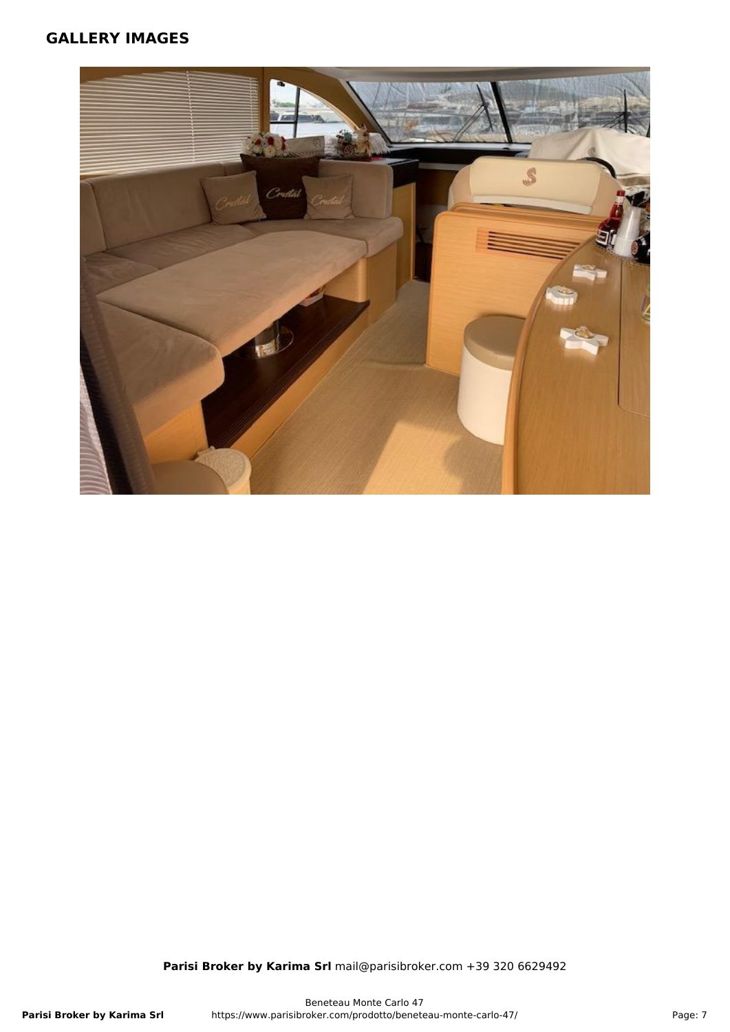# **GALLERY IMAGES**

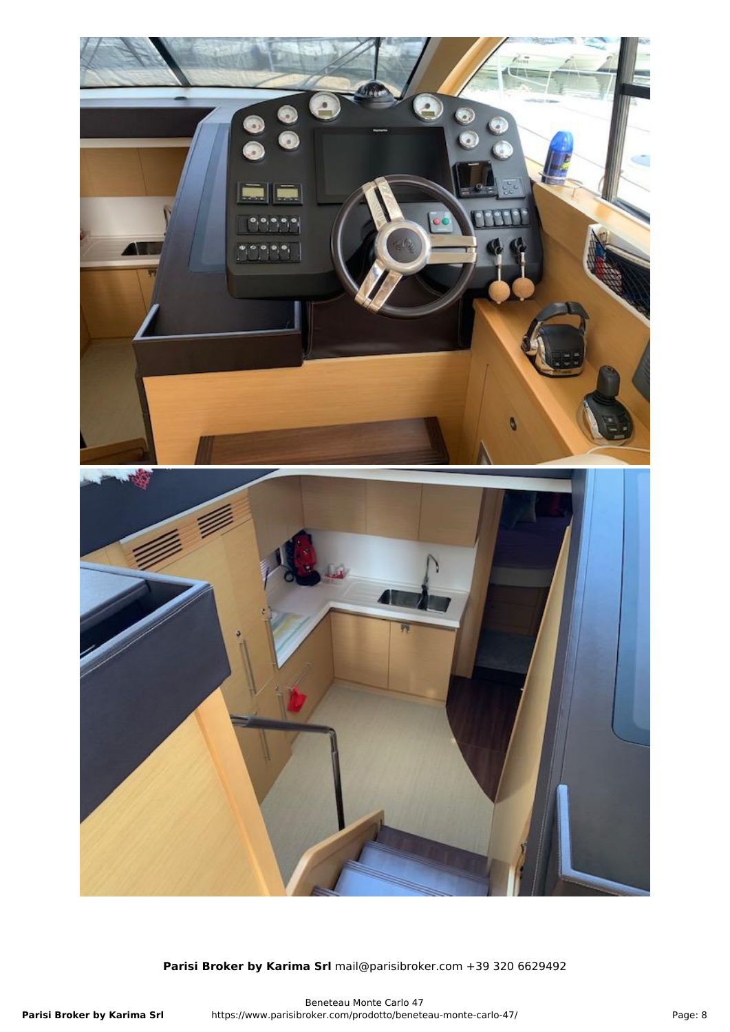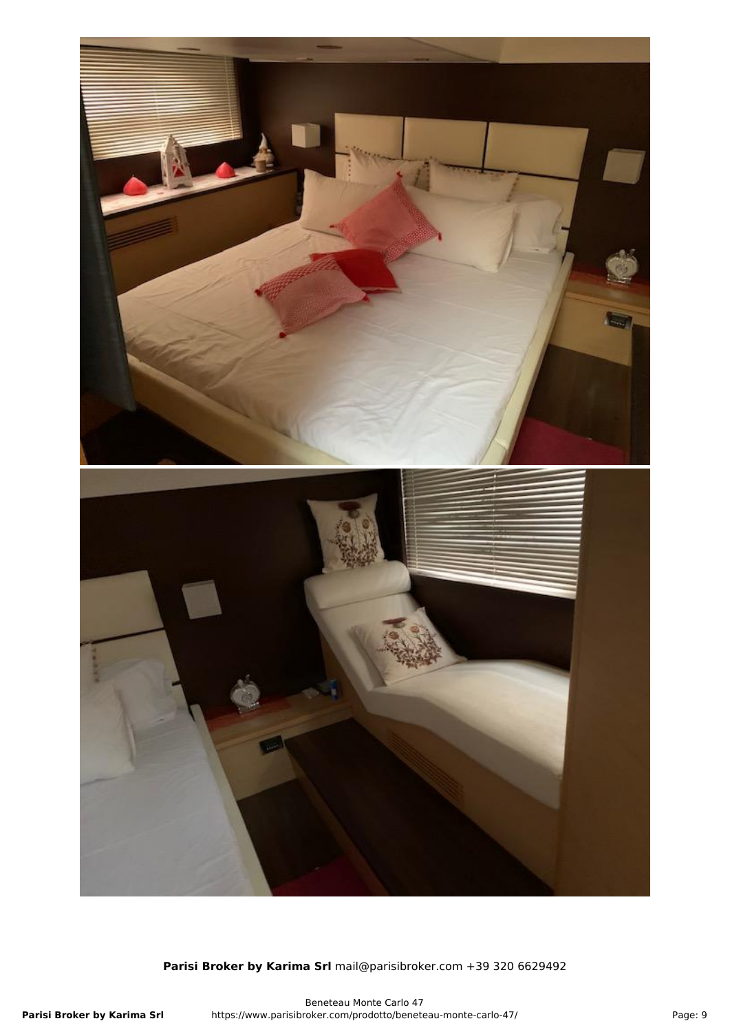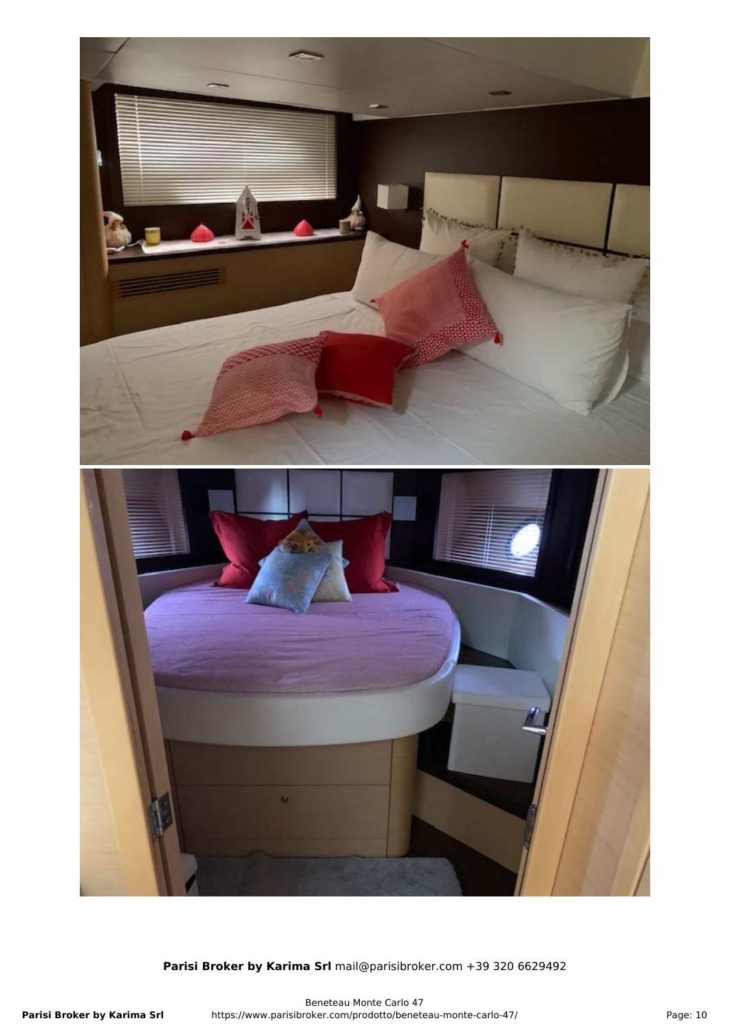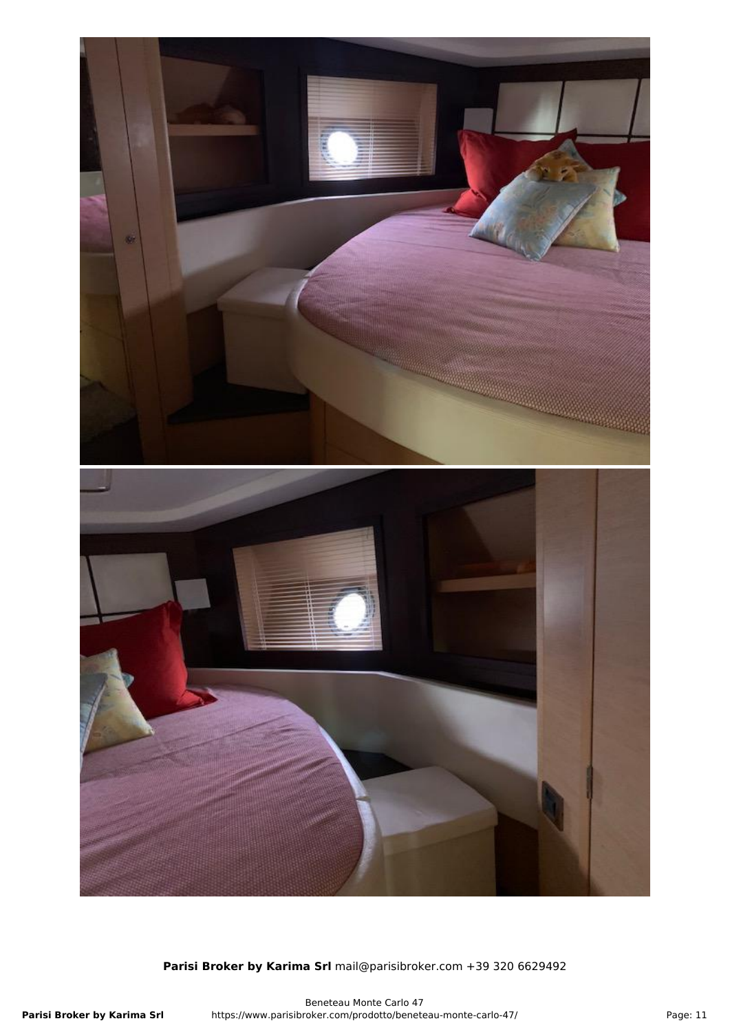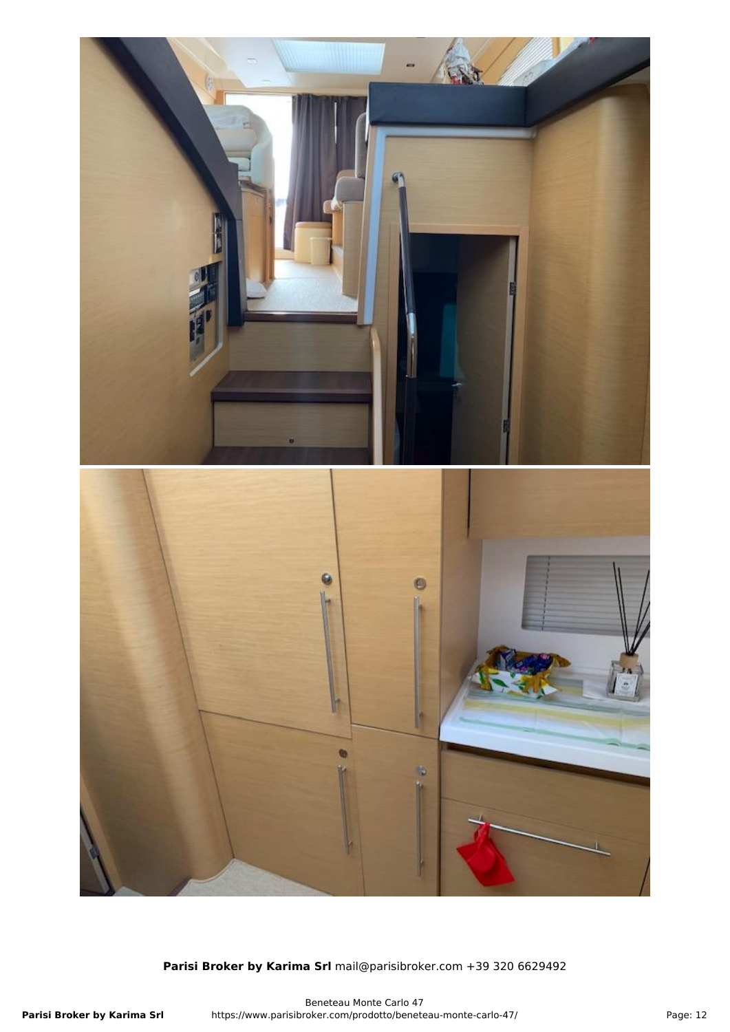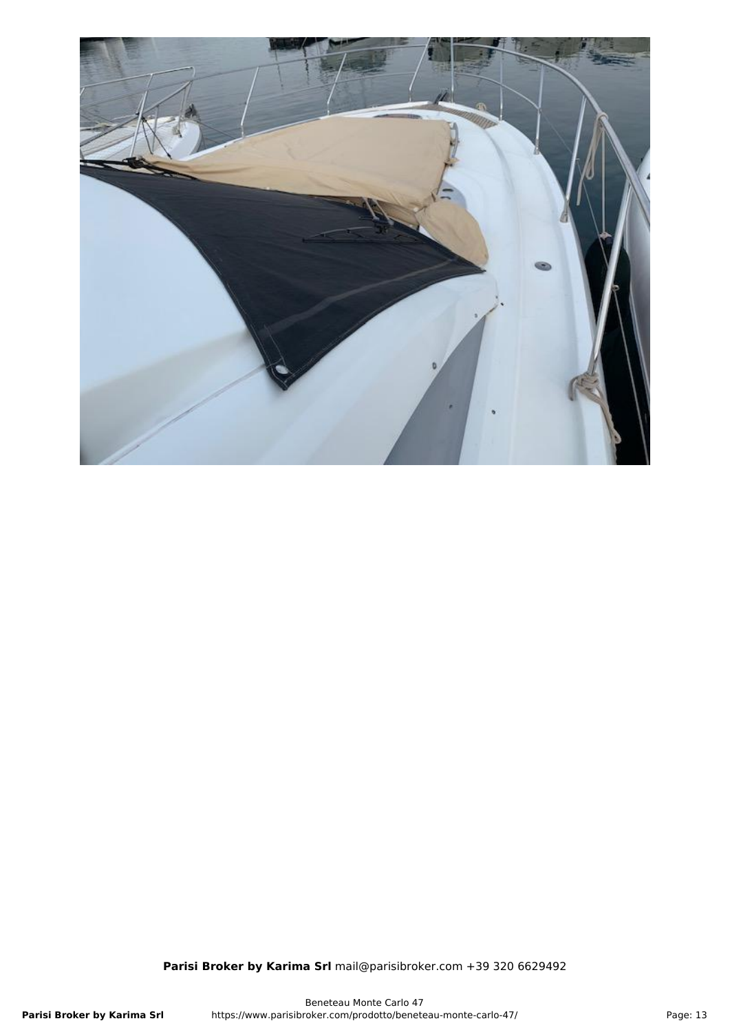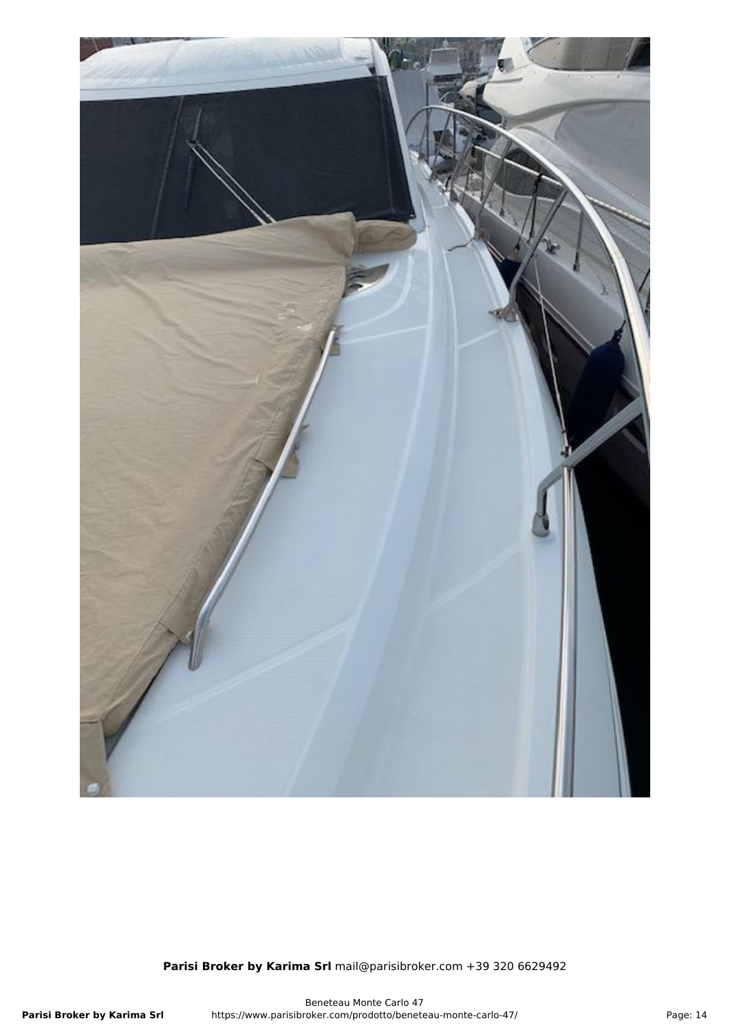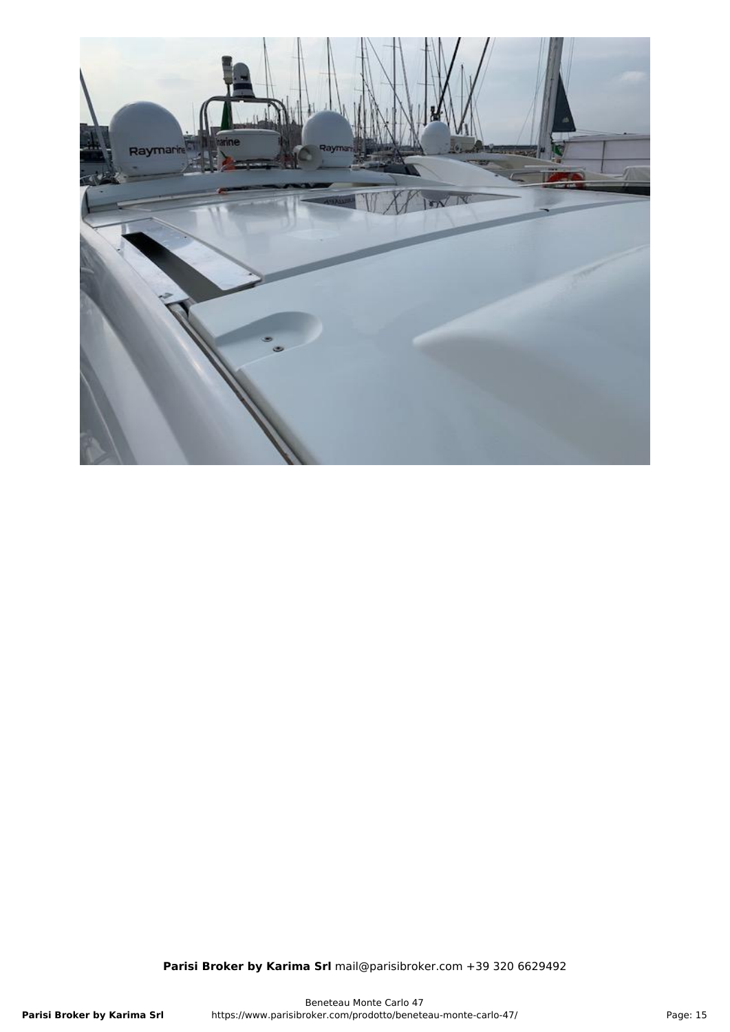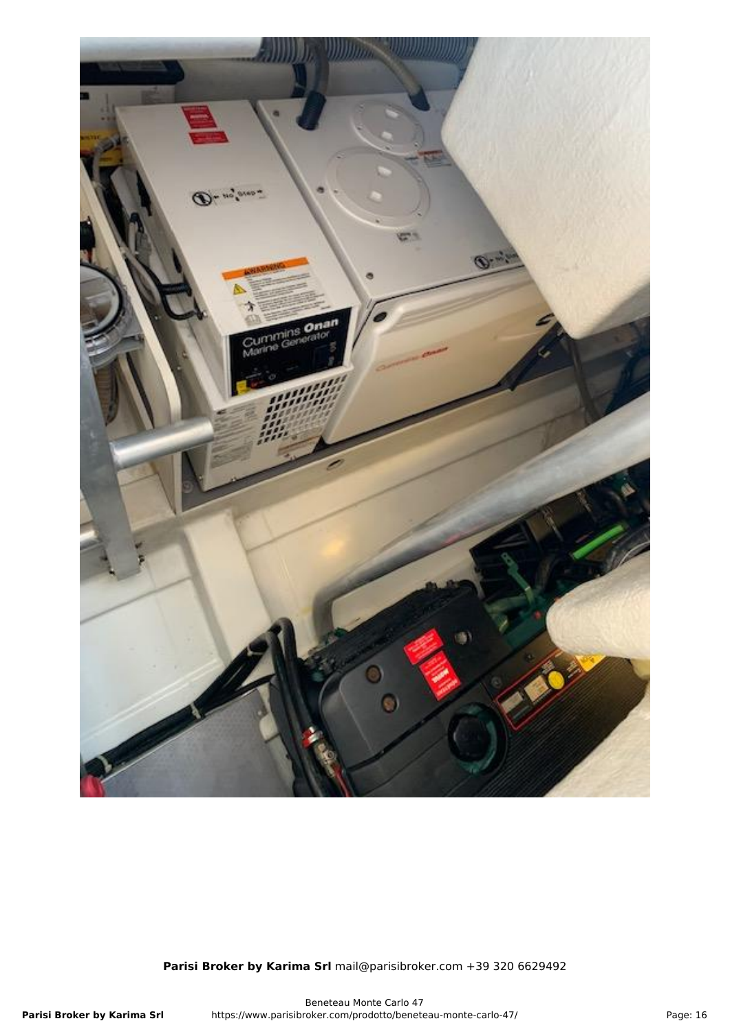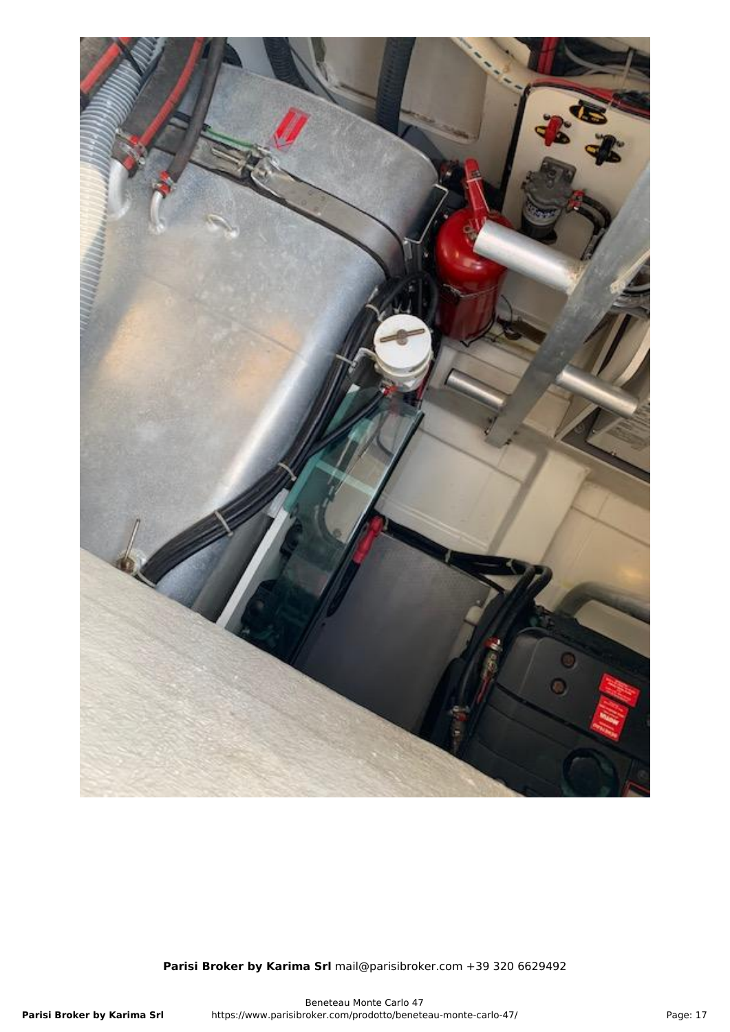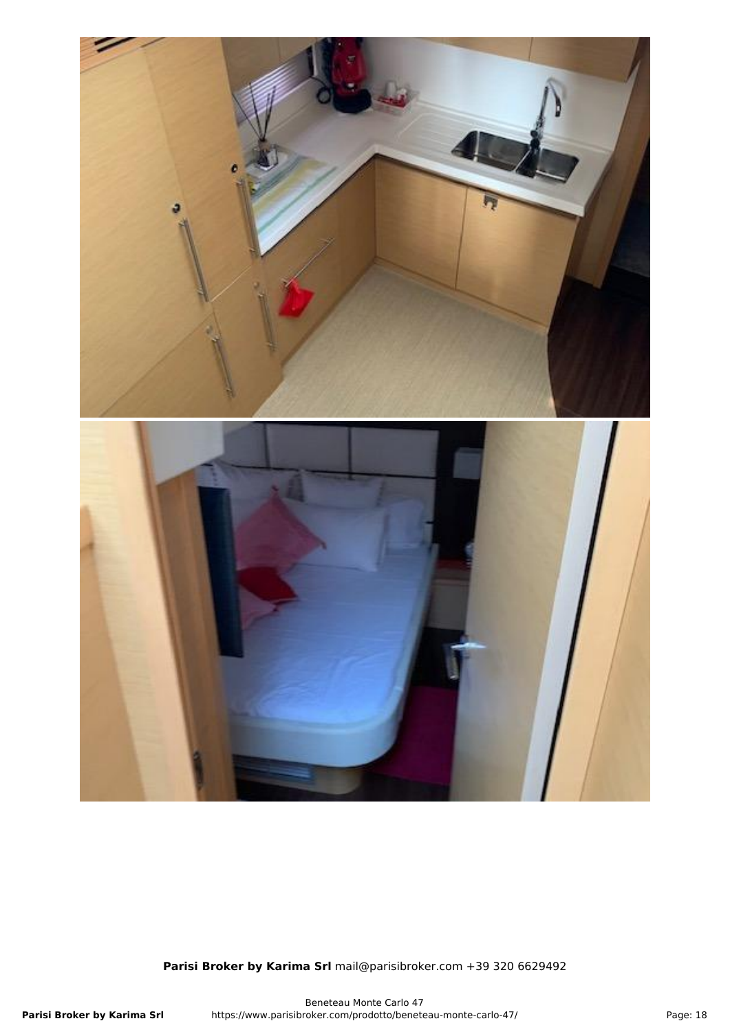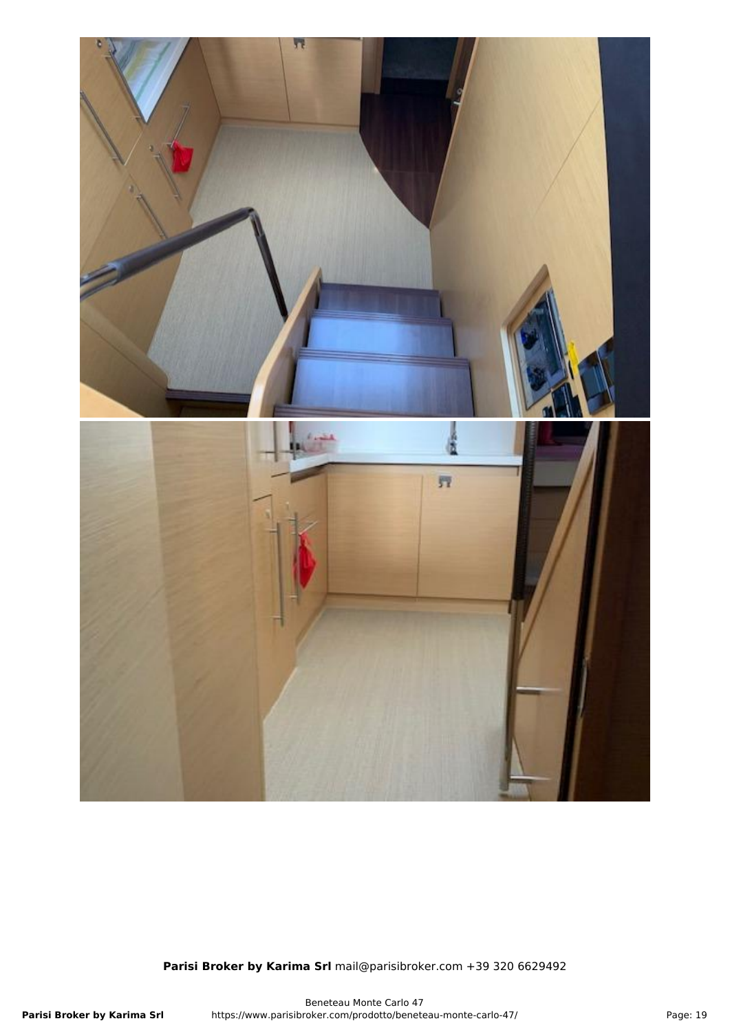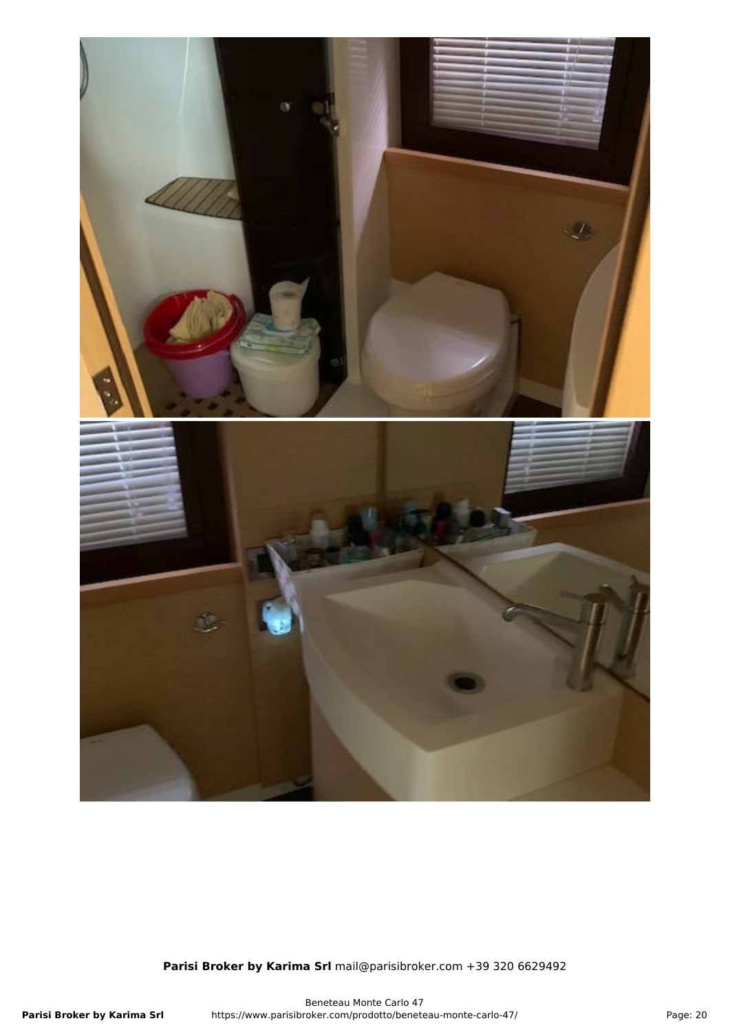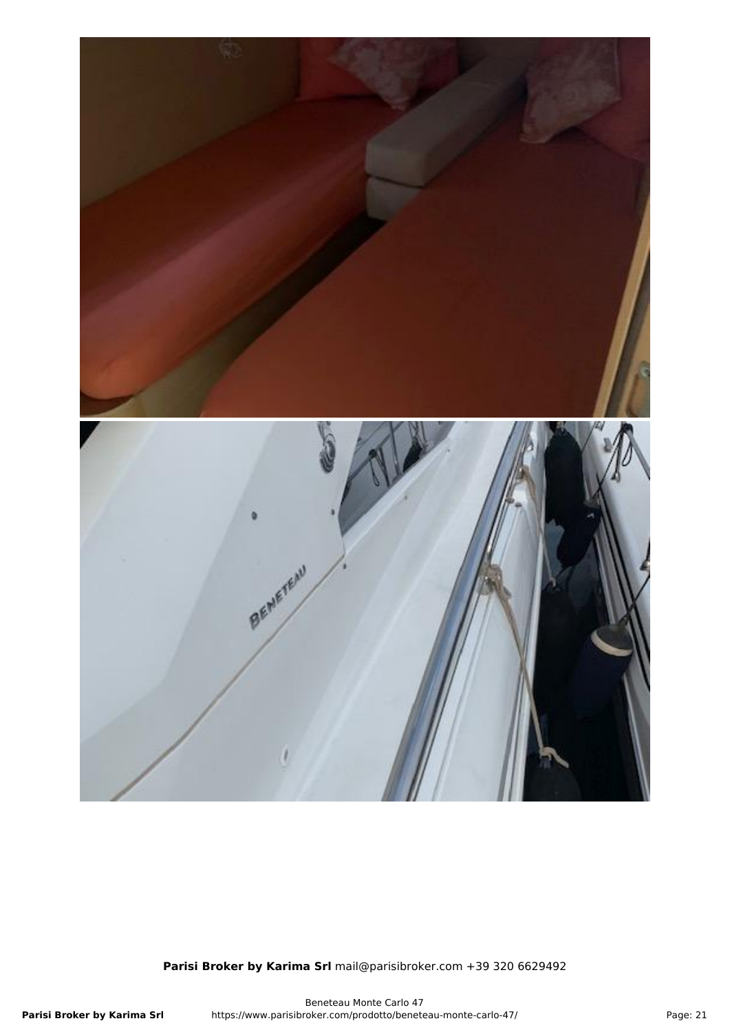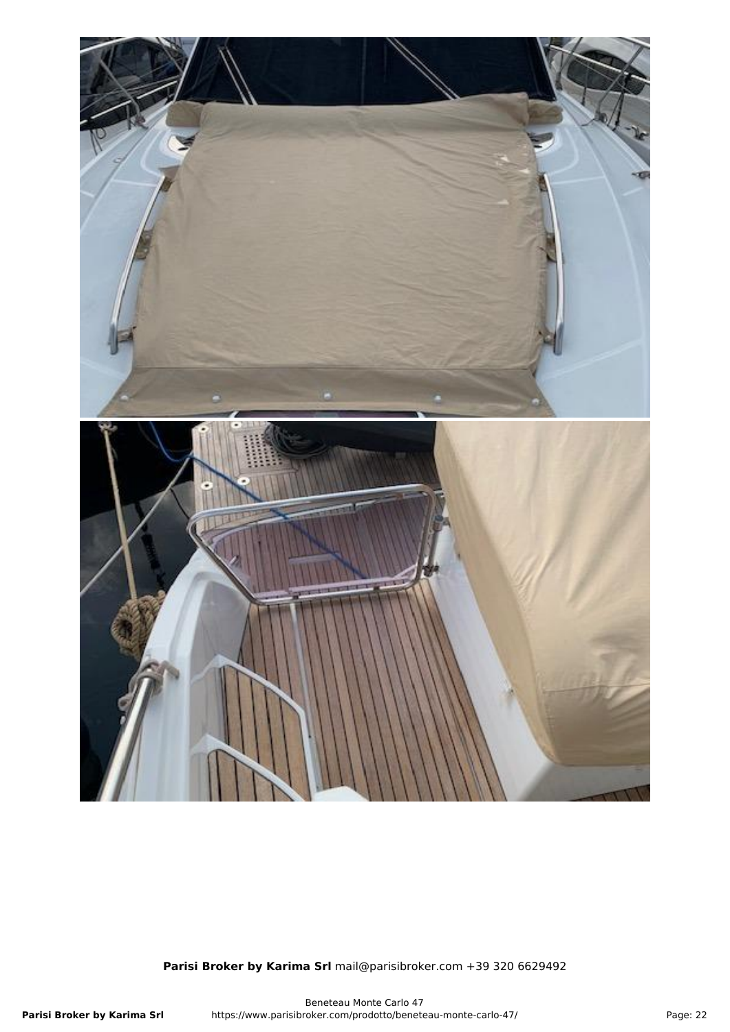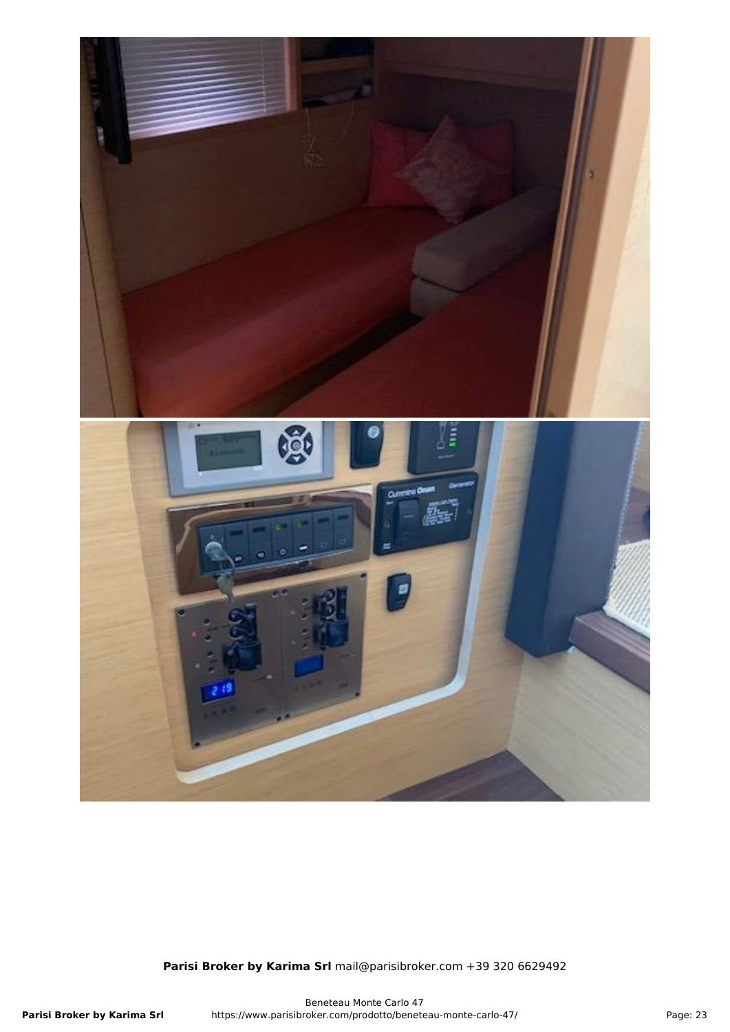